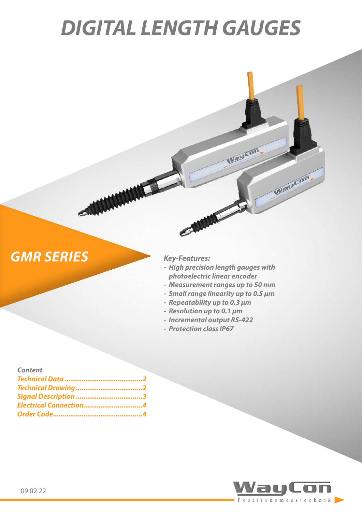# *DIGITAL LENGTH GAUGES*

## **GMR SERIES** *Key-Features:*

*- High precision length gauges with photoelectric linear encoder*

Waycon

Waycon

- *- Measurement ranges up to 50 mm*
- *- Small range linearity up to 0.5 µm*
- *- Repeatability up to 0.3 µm*
- *- Resolution up to 0.1 µm*
- *- Incremental output RS-422*
- *- Protection class IP67*

| <b>Content</b>         |  |
|------------------------|--|
|                        |  |
|                        |  |
|                        |  |
| Electrical Connection4 |  |
|                        |  |

MANAMANT

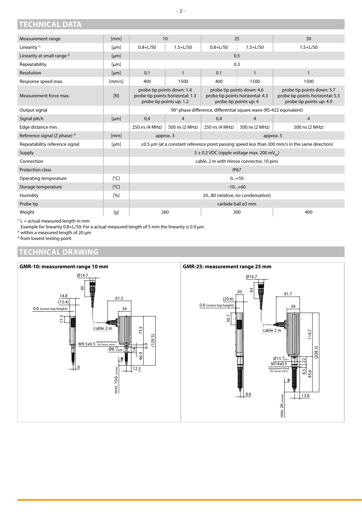<span id="page-1-0"></span>**TECHNICAL DATA**

| Measurement range                        | [mm]               | 10                                                                                                   |                                     | 25                                                                                       |                | 50                                                                                         |
|------------------------------------------|--------------------|------------------------------------------------------------------------------------------------------|-------------------------------------|------------------------------------------------------------------------------------------|----------------|--------------------------------------------------------------------------------------------|
| Linearity <sup>1)</sup>                  | [µm]               | $0.8 + L/50$                                                                                         | $1.5 + L/50$                        | $0.8 + L/50$                                                                             | $1.5 + L/50$   | $1.5 + L/50$                                                                               |
| Linearity at small range <sup>2)</sup>   | [µm]               | 0.5                                                                                                  |                                     |                                                                                          |                |                                                                                            |
| Repeatability                            | [µm]               | 0.3                                                                                                  |                                     |                                                                                          |                |                                                                                            |
| Resolution                               | [µm]               | 0.1                                                                                                  | 0.1<br>$\mathbf{1}$<br>$\mathbf{1}$ |                                                                                          | $\mathbf{1}$   |                                                                                            |
| Response speed max.                      | [mm/s]             | 400                                                                                                  | 1500                                | 400                                                                                      | 1500           | 1500                                                                                       |
| Measurement force max.                   | [N]                | probe tip points down: 1.4<br>probe tip points horizontal: 1.3<br>probe tip points up: 1.2           |                                     | probe tip points down: 4.6<br>probe tip points horizontal: 4.3<br>probe tip points up: 4 |                | probe tip points down: 5.7<br>probe tip points horizontal: 5.3<br>probe tip points up: 4.9 |
| Output signal                            |                    | 90° phase difference, differential square wave (RS-422 equivalent)                                   |                                     |                                                                                          |                |                                                                                            |
| Signal pitch                             | [µm]               | 0,4                                                                                                  | $\overline{4}$                      | 0,4                                                                                      | $\overline{4}$ | $\overline{4}$                                                                             |
| Edge distance min.                       |                    | 250 ns (4 MHz)                                                                                       | 500 ns (2 MHz)                      | 250 ns (4 MHz)                                                                           | 500 ns (2 MHz) | 500 ns (2 MHz)                                                                             |
| Reference signal (Z phase) <sup>3)</sup> | [mm]               | approx. 3<br>approx. 5                                                                               |                                     |                                                                                          |                |                                                                                            |
| Repeatability reference signal           | [µm]               | $\leq$ 0.5 µm (at a constant reference point passing speed less than 300 mm/s in the same direction) |                                     |                                                                                          |                |                                                                                            |
| Supply                                   |                    | 5 ± 0.2 VDC (ripple voltage max. 200 mV <sub>pp</sub> )                                              |                                     |                                                                                          |                |                                                                                            |
| Connection                               |                    | cable, 2 m with Hirose connector, 10 pins                                                            |                                     |                                                                                          |                |                                                                                            |
| <b>Protection class</b>                  |                    | <b>IP67</b>                                                                                          |                                     |                                                                                          |                |                                                                                            |
| Operating temperature                    | $\lceil^{\circ}$ C | $0+50$                                                                                               |                                     |                                                                                          |                |                                                                                            |
| Storage temperature                      | $\lceil^{\circ}$ C | $-10+60$                                                                                             |                                     |                                                                                          |                |                                                                                            |
| Humidity                                 | [%]                | 2080 (relative, no condensation)                                                                     |                                     |                                                                                          |                |                                                                                            |
| Probe tip                                |                    | carbide ball ø3 mm                                                                                   |                                     |                                                                                          |                |                                                                                            |
| Weight<br>.                              | [g]                | 260<br>300                                                                                           |                                     |                                                                                          | 400            |                                                                                            |

 $1)$  L = actual measured length in mm

Example for linearity 0.8+L/50: For a actual measured length of 5 mm the linearity is 0.9 µm.

<sup>2)</sup> within a measured length of 20  $\mu$ m

<sup>3)</sup> from lowest resting point

#### **TECHNICAL DRAWING**

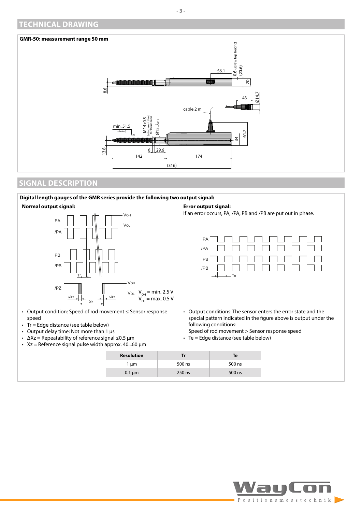#### <span id="page-2-0"></span>**TECHNICAL DRAWING**

#### **GMR-50: measurement range 50 mm**



### **SIGNAL DESCRIPTION**

#### **Digital length gauges of the GMR series provide the following two output signal:**





- Output condition: Speed of rod movement ≤ Sensor response speed
- Tr = Edge distance (see table below)
- Output delay time: Not more than 1 μs
- $ΔXz = Repeatability of reference signal ≤0.5 µm$
- $Xz$  = Reference signal pulse width approx. 40...60  $\mu$ m

#### **Error output signal:**

If an error occurs, PA, /PA, PB and /PB are put out in phase.



- Output conditions: The sensor enters the error state and the special pattern indicated in the figure above is output under the following conditions:
- Speed of rod movement > Sensor response speed • Te = Edge distance (see table below)

| <b>Resolution</b> | Tr     | Te     |
|-------------------|--------|--------|
| l µm              | 500 ns | 500 ns |
| $0.1 \mu m$       | 250 ns | 500 ns |